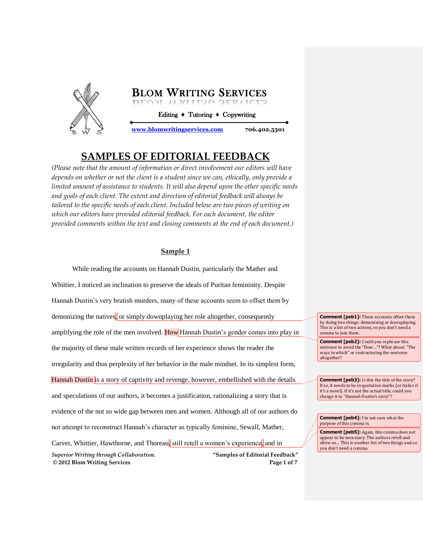

Editing **♦** Tutoring **♦** Copywriting

**[www.blomwritingservices.com](file:///H:/Paul) 706.402.5301**

# **SAMPLES OF EDITORIAL FEEDBACK**

*(Please note that the amount of information or direct involvement our editors will have depends on whether or not the client is a student since we can, ethically, only provide a limited amount of assistance to students. It will also depend upon the other specific needs and goals of each client. The extent and direction of editorial feedback will always be tailored to the specific needs of each client. Included below are two pieces of writing on which our editors have provided editorial feedback. For each document, the editor provided comments within the text and closing comments at the end of each document.)*

### **Sample 1**

*Superior Writing through Collaboration.* **"Samples of Editorial Feedback" © 2012 Blom Writing Services Page 1 of 7** While reading the accounts on Hannah Dustin, particularly the Mather and Whittier, I noticed an inclination to preserve the ideals of Puritan femininity. Despite Hannah Dustin's very brutish murders, many of these accounts seem to offset them by demonizing the natives, or simply downplaying her role altogether, consequently amplifying the role of the men involved. How Hannah Dustin's gender comes into play in the majority of these male written records of her experience shows the reader the irregularity and thus perplexity of her behavior in the male mindset. In its simplest form, Hannah Dustin is a story of captivity and revenge, however, embellished with the details and speculations of our authors, it becomes a justification, rationalizing a story that is evidence of the not so wide gap between men and women. Although all of our authors do not attempt to reconstruct Hannah's character as typically feminine, Sewall, Mather, Carver, Whittier, Hawthorne, and Thoreau, still retell a women's experience, and in

**Comment [peb1]:** These accounts offset them by doing two things: demonizing or downplaying. This is a list of two actions, so you don't need a comma to join them.

**Comment [peb2]:** Could you rephrase this sentence to avoid the "How…"? What about: "The ways in which" or restructuring the sentence altogether?

**Comment [peb3]:** Is this the title of the story? If so, it needs to be in quotation marks (or italics if it's a novel). If it's not the actual title, could you change it to "Hannah Dustin's story"?

**Comment [peb4]:** I'm not sure what the purpose of this comma is.

**Comment [peb5]:** Again, this comma does not appear to be necessary. The authors retell and allow us… This is another list of two things and so you don't need a comma.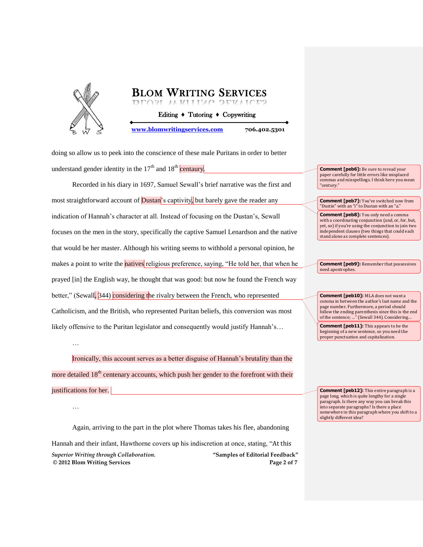

…

…

**BLOM WRITING SERVICES**  Editing **♦** Tutoring **♦** Copywriting **[www.blomwritingservices.com](file:///H:/Paul) 706.402.5301**

doing so allow us to peek into the conscience of these male Puritans in order to better understand gender identity in the  $17<sup>th</sup>$  and  $18<sup>th</sup>$  centaury.

Recorded in his diary in 1697, Samuel Sewall's brief narrative was the first and most straightforward account of **Dustan**'s captivity, but barely gave the reader any indication of Hannah's character at all. Instead of focusing on the Dustan's, Sewall focuses on the men in the story, specifically the captive Samuel Lenardson and the native that would be her master. Although his writing seems to withhold a personal opinion, he makes a point to write the **natives** religious preference, saying, "He told her, that when he prayed [in] the English way, he thought that was good: but now he found the French way better," (Sewall, 344) considering the rivalry between the French, who represented Catholicism, and the British, who represented Puritan beliefs, this conversion was most likely offensive to the Puritan legislator and consequently would justify Hannah's…

Ironically, this account serves as a better disguise of Hannah's brutality than the more detailed  $18<sup>th</sup>$  centenary accounts, which push her gender to the forefront with their justifications for her.

*Superior Writing through Collaboration.* **"Samples of Editorial Feedback" © 2012 Blom Writing Services Page 2 of 7** Again, arriving to the part in the plot where Thomas takes his flee, abandoning Hannah and their infant, Hawthorne covers up his indiscretion at once, stating, "At this

**Comment [peb6]:** Be sure to reread your paper carefully for little errors like misplaced commas and misspellings. I think here you mean "century."

**Comment [peb7]:** You've switched now from "Dustin" with an "i" to Dustan with an "a."

**Comment [peb8]:** You only need a comma with a coordinating conjunction (and, or, for, but, yet, so) if you're using the conjunction to join two independent clauses (two things that could each stand alone as complete sentences).

**Comment [peb9]:** Remember that possessives need apostrophes.

**Comment [peb10]:** MLA does not want a comma in between the author's last name and the page number. Furthermore, a period should follow the ending parenthesis since this is the end of the sentence; …" (Sewall 344). Considering…

**Comment [peb11]:** This appears to be the beginning of a new sentence, so you need the proper punctuation and capitalization.

**Comment [peb12]:** This entire paragraph is a page long, which is quite lengthy for a single paragraph. Is there any way you can break this into separate paragraphs? Is there a place somewhere in this paragraph where you shift to a slightly different idea?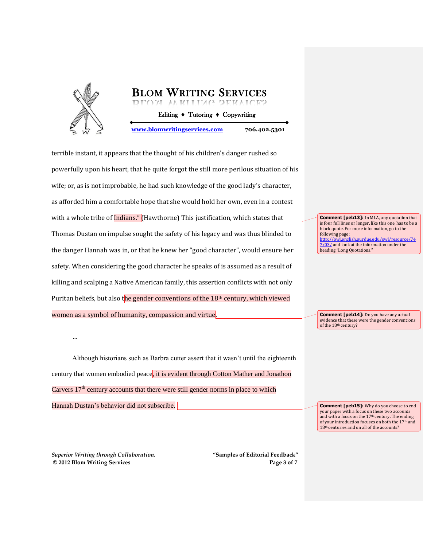

terrible instant, it appears that the thought of his children's danger rushed so powerfully upon his heart, that he quite forgot the still more perilous situation of his wife; or, as is not improbable, he had such knowledge of the good lady's character, as afforded him a comfortable hope that she would hold her own, even in a contest with a whole tribe of  $\ln \frac{d}{d}$  (Hawthorne) This justification, which states that Thomas Dustan on impulse sought the safety of his legacy and was thus blinded to the danger Hannah was in, or that he knew her "good character", would ensure her safety. When considering the good character he speaks of is assumed as a result of killing and scalping a Native American family, this assertion conflicts with not only Puritan beliefs, but also the gender conventions of the 18<sup>th</sup> century, which viewed women as a symbol of humanity, compassion and virtue.

**Comment [peb13]:** In MLA, any quotation that is four full lines or longer, like this one, has to be a block quote. For more information, go to the following page: [http://owl.english.purdue.edu/owl/resource/74](http://owl.english.purdue.edu/owl/resource/747/03/) [7/03/](http://owl.english.purdue.edu/owl/resource/747/03/) and look at the information under the heading "Long Quotations."

**Comment [peb14]:** Do you have any actual evidence that these were the gender conventions of the 18<sup>th</sup> century?

Although historians such as Barbra cutter assert that it wasn't until the eighteenth century that women embodied peace, it is evident through Cotton Mather and Jonathon Carvers  $17<sup>th</sup>$  century accounts that there were still gender norms in place to which Hannah Dustan's behavior did not subscribe.

**Comment [peb15]:** Why do you choose to end your paper with a focus on these two accounts and with a focus on the  $17<sup>th</sup>$  century. The ending of your introduction focuses on both the  $17^{\rm th}$  and 18<sup>th</sup> centuries and on all of the accounts?

*Superior Writing through Collaboration.* **"Samples of Editorial Feedback" © 2012 Blom Writing Services Page 3 of 7**

…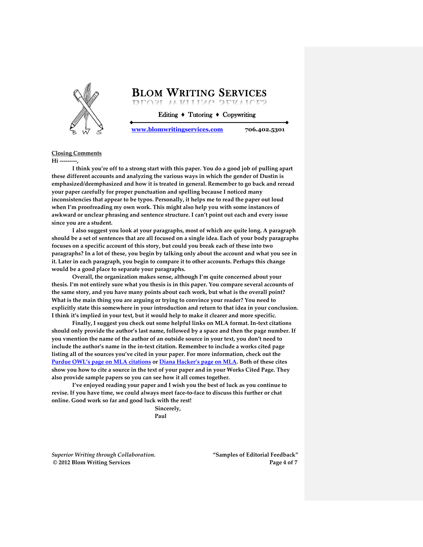

Editing **♦** Tutoring **♦** Copywriting

**[www.blomwritingservices.com](file:///H:/Paul) 706.402.5301**

### **Closing Comments**

**Hi ---------,**

**I think you're off to a strong start with this paper. You do a good job of pulling apart these different accounts and analyzing the various ways in which the gender of Dustin is emphasized/deemphasized and how it is treated in general. Remember to go back and reread your paper carefully for proper punctuation and spelling because I noticed many inconsistencies that appear to be typos. Personally, it helps me to read the paper out loud when I'm proofreading my own work. This might also help you with some instances of awkward or unclear phrasing and sentence structure. I can't point out each and every issue since you are a student.**

**I also suggest you look at your paragraphs, most of which are quite long. A paragraph should be a set of sentences that are all focused on a single idea. Each of your body paragraphs focuses on a specific account of this story, but could you break each of these into two paragraphs? In a lot of these, you begin by talking only about the account and what you see in it. Later in each paragraph, you begin to compare it to other accounts. Perhaps this change would be a good place to separate your paragraphs.** 

**Overall, the organization makes sense, although I'm quite concerned about your thesis. I'm not entirely sure what you thesis is in this paper. You compare several accounts of the same story, and you have many points about each work, but what is the overall point? What is the main thing you are arguing or trying to convince your reader? You need to explicitly state this somewhere in your introduction and return to that idea in your conclusion. I think it's implied in your text, but it would help to make it clearer and more specific.**

**Finally, I suggest you check out some helpful links on MLA format. In-text citations should only provide the author's last name, followed by a space and then the page number. If you vmention the name of the author of an outside source in your text, you don't need to include the author's name in the in-text citation. Remember to include a works cited page listing all of the sources you've cited in your paper. For more information, check out the [Purdue OWL's page on MLA citations](http://owl.english.purdue.edu/owl/resource/557/01/) or [Diana Hacker's page on MLA](http://www.dianahacker.com/resdoc/humanities.html). Both of these cites show you how to cite a source in the text of your paper and in your Works Cited Page. They also provide sample papers so you can see how it all comes together.**

**I've enjoyed reading your paper and I wish you the best of luck as you continue to revise. If you have time, we could always meet face-to-face to discuss this further or chat online. Good work so far and good luck with the rest!**

> **Sincerely, Paul**

*Superior Writing through Collaboration.* **"Samples of Editorial Feedback" © 2012 Blom Writing Services Page 4 of 7**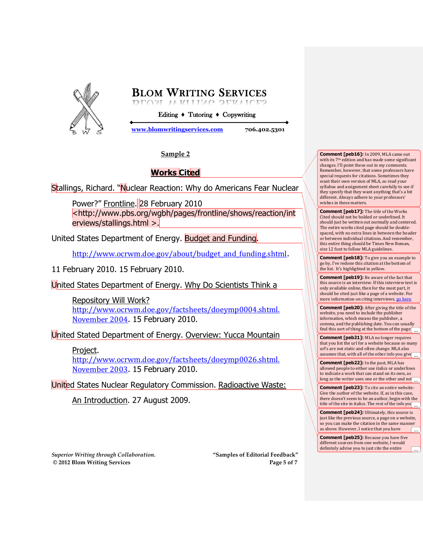

Editing **♦** Tutoring **♦** Copywriting

**[www.blomwritingservices.com](file:///H:/Paul) 706.402.5301**

## **Sample 2**

## **Works Cited**

Stallings, Richard. "Nuclear Reaction: Why do Americans Fear Nuclear

Power?" Frontline. 28 February 2010 <http://www.pbs.org/wgbh/pages/frontline/shows/reaction/int erviews/stallings.html >.

United States Department of Energy. Budget and Funding.

http://www.ocrwm.doe.gov/about/budget and funding.shtml.

11 February 2010. 15 February 2010.

United States Department of Energy. Why Do Scientists Think a

Repository Will Work? [http://www.ocrwm.doe.gov/factsheets/doeymp0004.shtml.](http://www.ocrwm.doe.gov/factsheets/doeymp0004.shtml.%20November%202004)  [November 2004](http://www.ocrwm.doe.gov/factsheets/doeymp0004.shtml.%20November%202004). 15 February 2010.

United Stated Department of Energy. Overview: Yucca Mountain

## Project.

[http://www.ocrwm.doe.gov/factsheets/doeymp0026.shtml.](http://www.ocrwm.doe.gov/factsheets/doeymp0026.shtml.%20November%202003)  [November 2003](http://www.ocrwm.doe.gov/factsheets/doeymp0026.shtml.%20November%202003). 15 February 2010.

United States Nuclear Regulatory Commission. Radioactive Waste:

An Introduction. 27 August 2009.

*Superior Writing through Collaboration.* **"Samples of Editorial Feedback" © 2012 Blom Writing Services Page 5 of 7**

#### **Comment [peb16]:** In 2009, MLA came out with its 7th edition and has made some significant changes. I'll point these out in my comments. Remember, however, that some professors have special requests for citations. Sometimes they want their own version of MLA, so read your syllabus and assignment sheet carefully to see if they specify that they want anything that's a bit different. Always adhere to your professors' wishes in these matters.

**Comment [peb17]:** The title of the Works Cited should not be bolded or underlined. It should just be written out normally and centered. The entire works cited page should be doublespaced, with no extra lines in between the header or between individual citations. And remember, this entire thing should be Times New Roman, size 12 font to follow MLA guidelines.

**Comment [peb18]:** To give you an example to go by, I've redone this citation at the bottom of the list. It's highlighted in yellow.

**Comment [peb19]:** Be aware of the fact that this source is an interview. If this interview text is only available online, then for the most part, it should be cited just like a page of a website. For more information on citing interviews[, go here.](http://owl.english.purdue.edu/owl/resource/747/09/)

**Comment [peb20]:** After giving the title of the website, you need to include the publisher information, which means the publisher, a comma, and the publishing date. You can usually find this sort of thing at the bottom of the page  $\bigcap$ ...

**Comment [peb21]:** MLA no longer requires that you list the url for a website because so many url's are not static and often change. MLA also assumes that, with all of the other info you give ...

**Comment [peb22]:** In the past, MLA has allowed people to either use italics or underlines to indicate a work that can stand on its own, as long as the writer uses one or the other and no ...

**Comment [peb23]:** To cite an entire website: Give the author of the website. If, as in this case, there doesn't seem to be an author, begin with the title of the site in italics. The rest of the info you ...

**Comment [peb24]:** Ultimately, this source is just like the previous source, a page on a website, so you can make the citation in the same manner as above. However, I notice that you have ...

**Comment [peb25]:** Because you have five different sources from one website, I would definitely advise you to just cite the entire

...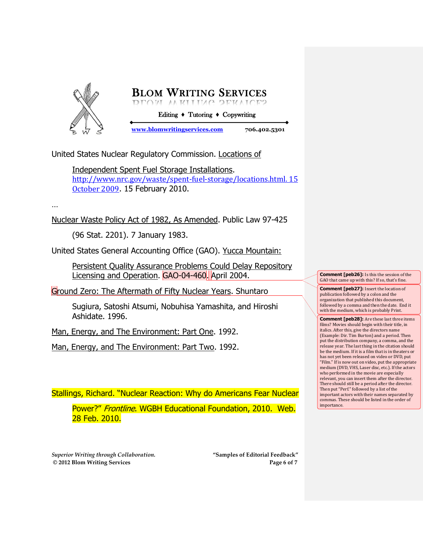

United States Nuclear Regulatory Commission. Locations of

Independent Spent Fuel Storage Installations. [http://www.nrc.gov/waste/spent-fuel-storage/locations.html. 15](http://www.nrc.gov/waste/spent-fuel-storage/locations.html.%2015%20October%202009)  [October 2009](http://www.nrc.gov/waste/spent-fuel-storage/locations.html.%2015%20October%202009). 15 February 2010.

…

Nuclear Waste Policy Act of 1982, As Amended. Public Law 97-425

(96 Stat. 2201). 7 January 1983.

United States General Accounting Office (GAO). Yucca Mountain:

Persistent Quality Assurance Problems Could Delay Repository Licensing and Operation. GAO-04-460. April 2004.

Ground Zero: The Aftermath of Fifty Nuclear Years. Shuntaro

Sugiura, Satoshi Atsumi, Nobuhisa Yamashita, and Hiroshi Ashidate. 1996.

Man, Energy, and The Environment: Part One. 1992.

Man, Energy, and The Environment: Part Two. 1992.

Stallings, Richard. "Nuclear Reaction: Why do Americans Fear Nuclear

Power?" Frontline. WGBH Educational Foundation, 2010. Web. 28 Feb. 2010.

*Superior Writing through Collaboration.* **"Samples of Editorial Feedback" © 2012 Blom Writing Services Page 6 of 7**

**Comment [peb26]:** Is this the session of the GAO that came up with this? If so, that's fine.

**Comment [peb27]:** Insert the location of publication followed by a colon and the organization that published this document, followed by a comma and then the date. End it with the medium, which is probably Print.

**Comment [peb28]:** Are these last three items films? Movies should begin with their title, in italics. After this, give the directors name (Example: Dir. Tim Burton) and a period. Then put the distribution company, a comma, and the release year. The last thing in the citation should be the medium. If it is a film that is in theaters or has not yet been released on video or DVD, put "Film." If is now out on video, put the appropriate medium (DVD, VHS, Laser disc, etc.). If the actors who performed in the movie are especially relevant, you can insert them after the director. There should still be a period after the director. Then put "Perf." followed by a list of the important actors with their names separated by commas. These should be listed in the order of importance.